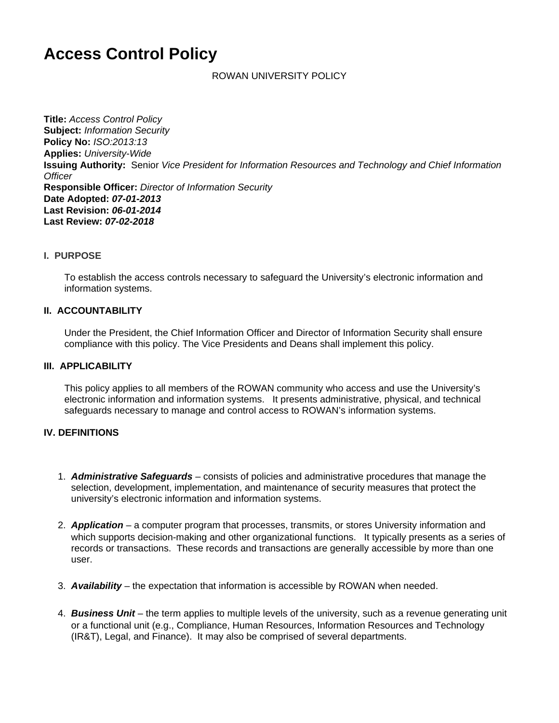# **Access Control Policy**

ROWAN UNIVERSITY POLICY

**Title:** Access Control Policy **Subject:** Information Security **Policy No:** ISO:2013:13 **Applies:** University-Wide **Issuing Authority:** Senior Vice President for Information Resources and Technology and Chief Information **Officer Responsible Officer:** Director of Information Security **Date Adopted: 07-01-2013 Last Revision: 06-01-2014 Last Review: 07-02-2018**

#### **I. PURPOSE**

To establish the access controls necessary to safeguard the University's electronic information and information systems.

#### **II. ACCOUNTABILITY**

Under the President, the Chief Information Officer and Director of Information Security shall ensure compliance with this policy. The Vice Presidents and Deans shall implement this policy.

#### **III. APPLICABILITY**

This policy applies to all members of the ROWAN community who access and use the University's electronic information and information systems. It presents administrative, physical, and technical safeguards necessary to manage and control access to ROWAN's information systems.

#### **IV. DEFINITIONS**

- 1. **Administrative Safeguards** consists of policies and administrative procedures that manage the selection, development, implementation, and maintenance of security measures that protect the university's electronic information and information systems.
- 2. **Application** a computer program that processes, transmits, or stores University information and which supports decision-making and other organizational functions. It typically presents as a series of records or transactions. These records and transactions are generally accessible by more than one user.
- 3. **Availability** the expectation that information is accessible by ROWAN when needed.
- 4. **Business Unit**  the term applies to multiple levels of the university, such as a revenue generating unit or a functional unit (e.g., Compliance, Human Resources, Information Resources and Technology (IR&T), Legal, and Finance). It may also be comprised of several departments.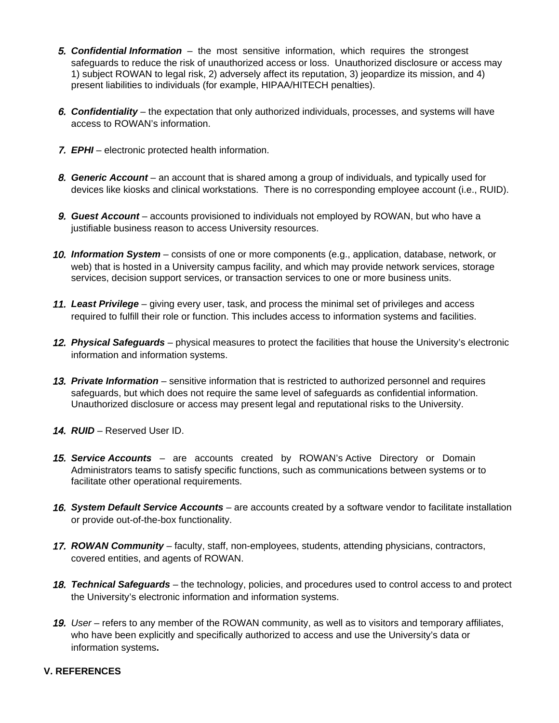- **5. Confidential Information** the most sensitive information, which requires the strongest safeguards to reduce the risk of unauthorized access or loss. Unauthorized disclosure or access may 1) subject ROWAN to legal risk, 2) adversely affect its reputation, 3) jeopardize its mission, and 4) present liabilities to individuals (for example, HIPAA/HITECH penalties).
- 6. **Confidentiality** the expectation that only authorized individuals, processes, and systems will have access to ROWAN's information.
- 7. **EPHI** electronic protected health information.
- 8. **Generic Account** an account that is shared among a group of individuals, and typically used for devices like kiosks and clinical workstations. There is no corresponding employee account (i.e., RUID).
- 9. **Guest Account**  accounts provisioned to individuals not employed by ROWAN, but who have a justifiable business reason to access University resources.
- 10. **Information System** consists of one or more components (e.g., application, database, network, or web) that is hosted in a University campus facility, and which may provide network services, storage services, decision support services, or transaction services to one or more business units.
- 11. **Least Privilege** giving every user, task, and process the minimal set of privileges and access required to fulfill their role or function. This includes access to information systems and facilities.
- 12. **Physical Safeguards** physical measures to protect the facilities that house the University's electronic information and information systems.
- 13. **Private Information** sensitive information that is restricted to authorized personnel and requires safeguards, but which does not require the same level of safeguards as confidential information. Unauthorized disclosure or access may present legal and reputational risks to the University.
- 14. **RUID** Reserved User ID.
- 15. **Service Accounts**  are accounts created by ROWAN's Active Directory or Domain Administrators teams to satisfy specific functions, such as communications between systems or to facilitate other operational requirements.
- 16. **System Default Service Accounts** are accounts created by a software vendor to facilitate installation or provide out-of-the-box functionality.
- 17. **ROWAN Community** faculty, staff, non-employees, students, attending physicians, contractors, covered entities, and agents of ROWAN.
- 18. **Technical Safeguards** the technology, policies, and procedures used to control access to and protect the University's electronic information and information systems.
- 19. User refers to any member of the ROWAN community, as well as to visitors and temporary affiliates, who have been explicitly and specifically authorized to access and use the University's data or information systems**.**

## **V. REFERENCES**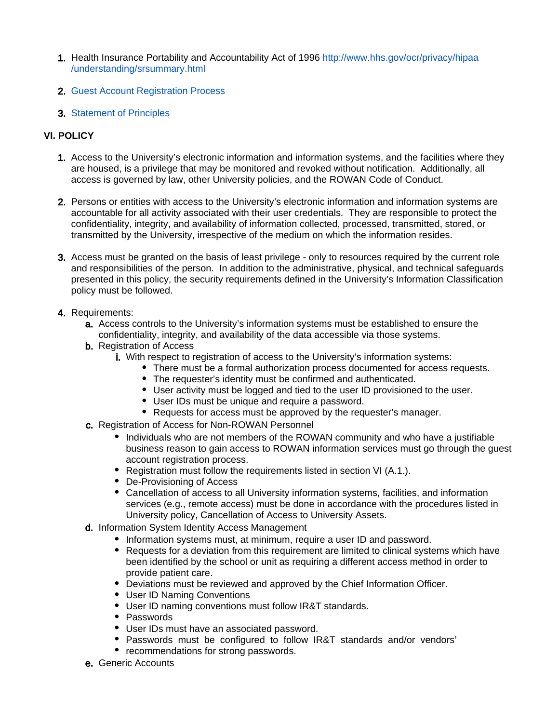- 1. Health Insurance Portability and Accountability Act of 1996 [http://www.hhs.gov/ocr/privacy/hipaa](http://www.hhs.gov/ocr/privacy/hipaa/understanding/srsummary.html) [/understanding/srsummary.html](http://www.hhs.gov/ocr/privacy/hipaa/understanding/srsummary.html)
- 2. [Guest Account Registration Process](http://www.hhs.gov/ocr/privacy/hipaa/understanding/srsummary.html)
- 3. [Statement of Principles](https://confluence.rowan.edu/display/POLICY/Statement+of+Principles)

# **VI. POLICY**

- 1. Access to the University's electronic information and information systems, and the facilities where they are housed, is a privilege that may be monitored and revoked without notification. Additionally, all access is governed by law, other University policies, and the ROWAN Code of Conduct.
- 2. Persons or entities with access to the University's electronic information and information systems are accountable for all activity associated with their user credentials. They are responsible to protect the confidentiality, integrity, and availability of information collected, processed, transmitted, stored, or transmitted by the University, irrespective of the medium on which the information resides.
- 3. Access must be granted on the basis of least privilege only to resources required by the current role and responsibilities of the person. In addition to the administrative, physical, and technical safeguards presented in this policy, the security requirements defined in the University's Information Classification policy must be followed.
- 4. Requirements:
	- a. Access controls to the University's information systems must be established to ensure the confidentiality, integrity, and availability of the data accessible via those systems.
	- **b.** Registration of Access
		- i. With respect to registration of access to the University's information systems:
			- There must be a formal authorization process documented for access requests.
			- The requester's identity must be confirmed and authenticated.
			- User activity must be logged and tied to the user ID provisioned to the user.
			- User IDs must be unique and require a password.
			- Requests for access must be approved by the requester's manager.
	- c. Registration of Access for Non-ROWAN Personnel
		- Individuals who are not members of the ROWAN community and who have a justifiable business reason to gain access to ROWAN information services must go through the guest account registration process.
		- Registration must follow the requirements listed in section VI (A.1.).
		- De-Provisioning of Access
		- Cancellation of access to all University information systems, facilities, and information services (e.g., remote access) must be done in accordance with the procedures listed in University policy, Cancellation of Access to University Assets.
	- d. Information System Identity Access Management
		- Information systems must, at minimum, require a user ID and password.
		- Requests for a deviation from this requirement are limited to clinical systems which have been identified by the school or unit as requiring a different access method in order to provide patient care.
		- Deviations must be reviewed and approved by the Chief Information Officer.
		- User ID Naming Conventions
		- User ID naming conventions must follow IR&T standards.
		- Passwords
		- User IDs must have an associated password.
		- Passwords must be configured to follow IR&T standards and/or vendors'
		- recommendations for strong passwords.
	- e. Generic Accounts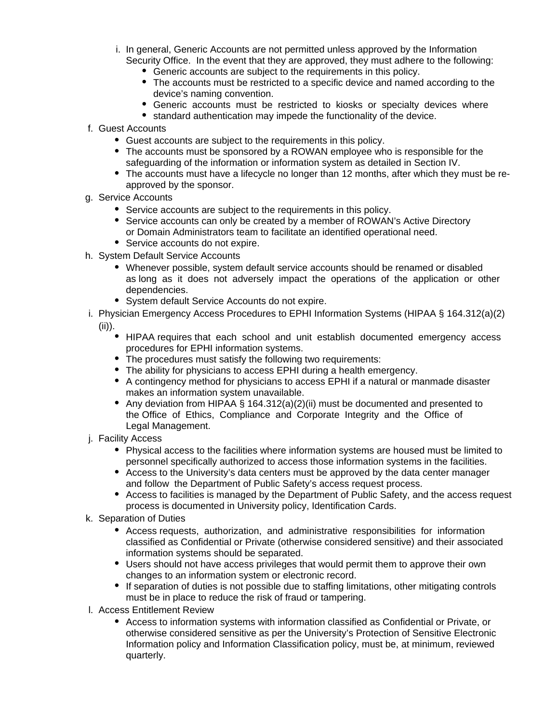- i. In general, Generic Accounts are not permitted unless approved by the Information Security Office. In the event that they are approved, they must adhere to the following:
	- Generic accounts are subject to the requirements in this policy.
	- The accounts must be restricted to a specific device and named according to the device's naming convention.
	- Generic accounts must be restricted to kiosks or specialty devices where
	- standard authentication may impede the functionality of the device.
- f. Guest Accounts
	- Guest accounts are subject to the requirements in this policy.
	- The accounts must be sponsored by a ROWAN employee who is responsible for the safeguarding of the information or information system as detailed in Section IV.
	- The accounts must have a lifecycle no longer than 12 months, after which they must be reapproved by the sponsor.
- g. Service Accounts
	- Service accounts are subject to the requirements in this policy.
	- Service accounts can only be created by a member of ROWAN's Active Directory or Domain Administrators team to facilitate an identified operational need.
	- Service accounts do not expire.
- h. System Default Service Accounts
	- Whenever possible, system default service accounts should be renamed or disabled as long as it does not adversely impact the operations of the application or other dependencies.
	- System default Service Accounts do not expire.
- i. Physician Emergency Access Procedures to EPHI Information Systems (HIPAA § 164.312(a)(2) (ii)).
	- HIPAA requires that each school and unit establish documented emergency access procedures for EPHI information systems.
	- The procedures must satisfy the following two requirements:
	- The ability for physicians to access EPHI during a health emergency.
	- A contingency method for physicians to access EPHI if a natural or manmade disaster makes an information system unavailable.
	- Any deviation from HIPAA § 164.312(a)(2)(ii) must be documented and presented to the Office of Ethics, Compliance and Corporate Integrity and the Office of Legal Management.
- j. Facility Access
	- Physical access to the facilities where information systems are housed must be limited to personnel specifically authorized to access those information systems in the facilities.
	- Access to the University's data centers must be approved by the data center manager and follow the Department of Public Safety's access request process.
	- Access to facilities is managed by the Department of Public Safety, and the access request process is documented in University policy, Identification Cards.
- k. Separation of Duties
	- Access requests, authorization, and administrative responsibilities for information classified as Confidential or Private (otherwise considered sensitive) and their associated information systems should be separated.
	- Users should not have access privileges that would permit them to approve their own changes to an information system or electronic record.
	- If separation of duties is not possible due to staffing limitations, other mitigating controls must be in place to reduce the risk of fraud or tampering.
- l. Access Entitlement Review
	- Access to information systems with information classified as Confidential or Private, or otherwise considered sensitive as per the University's Protection of Sensitive Electronic Information policy and Information Classification policy, must be, at minimum, reviewed quarterly.